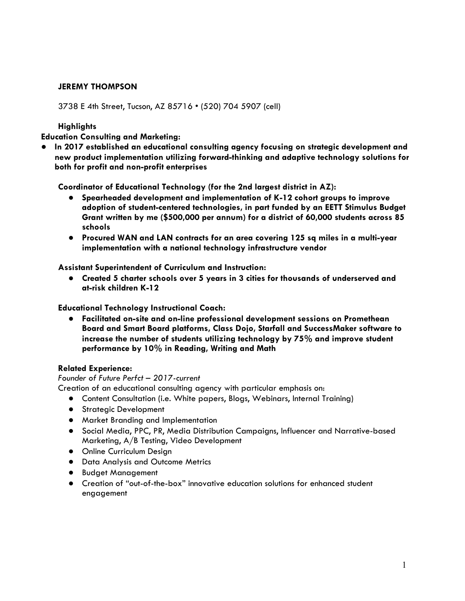# **JEREMY THOMPSON**

3738 E 4th Street, Tucson, AZ 85716 • (520) 704 5907 (cell)

## **Highlights**

**Education Consulting and Marketing:**

**● In 2017 established an educational consulting agency focusing on strategic development and new product implementation utilizing forward-thinking and adaptive technology solutions for both for profit and non-profit enterprises**

**Coordinator of Educational Technology (for the 2nd largest district in AZ):**

- **● Spearheaded development and implementation of K-12 cohort groups to improve adoption of student-centered technologies, in part funded by an EETT Stimulus Budget Grant written by me (\$500,000 per annum) for a district of 60,000 students across 85 schools**
- **● Procured WAN and LAN contracts for an area covering 125 sq miles in a multi-year implementation with a national technology infrastructure vendor**

**Assistant Superintendent of Curriculum and Instruction:**

**● Created 5 charter schools over 5 years in 3 cities for thousands of underserved and at-risk children K-12**

**Educational Technology Instructional Coach:**

**● Facilitated on-site and on-line professional development sessions on Promethean Board and Smart Board platforms, Class Dojo, Starfall and SuccessMaker software to increase the number of students utilizing technology by 75% and improve student performance by 10% in Reading, Writing and Math**

### **Related Experience:**

### *Founder of Future Perfct – 2017-current*

Creation of an educational consulting agency with particular emphasis on:

- Content Consultation (i.e. White papers, Blogs, Webinars, Internal Training)
- Strategic Development
- Market Branding and Implementation
- Social Media, PPC, PR, Media Distribution Campaigns, Influencer and Narrative-based Marketing, A/B Testing, Video Development
- Online Curriculum Design
- Data Analysis and Outcome Metrics
- Budget Management
- Creation of "out-of-the-box" innovative education solutions for enhanced student engagement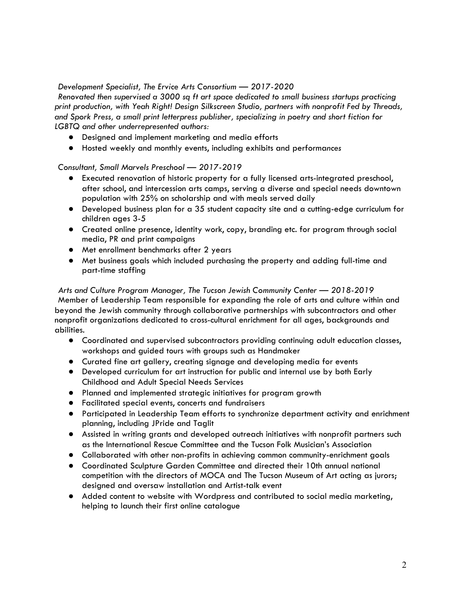## *Development Specialist, The Ervice Arts Consortium — 2017-2020*

*Renovated then supervised a 3000 sq ft art space dedicated to small business startups practicing print production, with Yeah Right! Design Silkscreen Studio, partners with nonprofit Fed by Threads, and Spork Press, a small print letterpress publisher, specializing in poetry and short fiction for LGBTQ and other underrepresented authors:*

- Designed and implement marketing and media efforts
- *●* Hosted weekly and monthly events, including exhibits and performa*nces*

*Consultant, Small Marvels Preschool — 2017-2019*

- *●* Executed renovation of historic property for a fully licensed arts-integrated preschool, after school, and intercession arts camps, serving a diverse and special needs downtown population with 25% on scholarship and with meals served daily
- *●* Developed business plan for a 35 student capacity site and a cutting-edge curriculum for children ages 3-5
- *●* Created online presence, identity work, copy, branding etc. for program through social media, PR and print campaigns
- *●* Met enrollment benchmarks after 2 years
- *●* Met business goals which included purchasing the property and adding full-time and part-time staffing

*Arts and Culture Program Manager, The Tucson Jewish Community Center — 2018-2019* Member of Leadership Team responsible for expanding the role of arts and culture within and beyond the Jewish community through collaborative partnerships with subcontractors and other nonprofit organizations dedicated to cross-cultural enrichment for all ages, backgrounds and abilities.

- Coordinated and supervised subcontractors providing continuing adult education classes, workshops and guided tours with groups such as Handmaker
- Curated fine art gallery, creating signage and developing media for events
- Developed curriculum for art instruction for public and internal use by both Early Childhood and Adult Special Needs Services
- Planned and implemented strategic initiatives for program growth
- Facilitated special events, concerts and fundraisers
- Participated in Leadership Team efforts to synchronize department activity and enrichment planning, including JPride and Taglit
- Assisted in writing grants and developed outreach initiatives with nonprofit partners such as the International Rescue Committee and the Tucson Folk Musician's Association
- Collaborated with other non-profits in achieving common community-enrichment goals
- Coordinated Sculpture Garden Committee and directed their 10th annual national competition with the directors of MOCA and The Tucson Museum of Art acting as jurors; designed and oversaw installation and Artist-talk event
- Added content to website with Wordpress and contributed to social media marketing, helping to launch their first online catalogue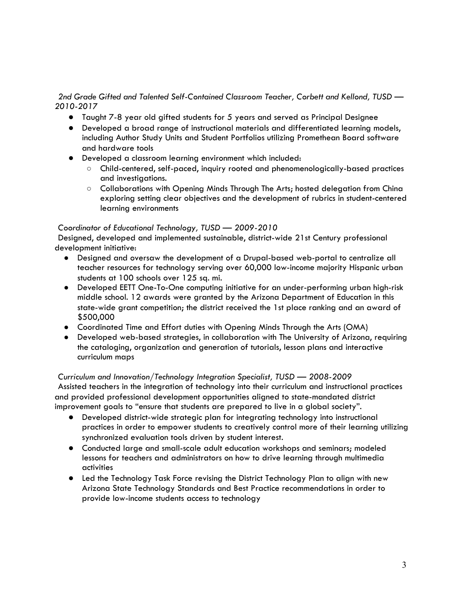# *2nd Grade Gifted and Talented Self-Contained Classroom Teacher, Corbett and Kellond, TUSD — 2010-2017*

- Taught 7-8 year old gifted students for 5 years and served as Principal Designee
- Developed a broad range of instructional materials and differentiated learning models, including Author Study Units and Student Portfolios utilizing Promethean Board software and hardware tools
- Developed a classroom learning environment which included:
	- Child-centered, self-paced, inquiry rooted and phenomenologically-based practices and investigations.
	- Collaborations with Opening Minds Through The Arts; hosted delegation from China exploring setting clear objectives and the development of rubrics in student-centered learning environments

# *Coordinator of Educational Technology, TUSD — 2009-2010*

Designed, developed and implemented sustainable, district-wide 21st Century professional development initiative:

- Designed and oversaw the development of a Drupal-based web-portal to centralize all teacher resources for technology serving over 60,000 low-income majority Hispanic urban students at 100 schools over 125 sq. mi.
- Developed EETT One-To-One computing initiative for an under-performing urban high-risk middle school. 12 awards were granted by the Arizona Department of Education in this state-wide grant competition; the district received the 1st place ranking and an award of \$500,000
- Coordinated Time and Effort duties with Opening Minds Through the Arts (OMA)
- Developed web-based strategies, in collaboration with The University of Arizona, requiring the cataloging, organization and generation of tutorials, lesson plans and interactive curriculum maps

*Curriculum and Innovation/Technology Integration Specialist, TUSD — 2008-2009* Assisted teachers in the integration of technology into their curriculum and instructional practices and provided professional development opportunities aligned to state-mandated district improvement goals to "ensure that students are prepared to live in a global society".

- Developed district-wide strategic plan for integrating technology into instructional practices in order to empower students to creatively control more of their learning utilizing synchronized evaluation tools driven by student interest.
- Conducted large and small-scale adult education workshops and seminars; modeled lessons for teachers and administrators on how to drive learning through multimedia activities
- Led the Technology Task Force revising the District Technology Plan to align with new Arizona State Technology Standards and Best Practice recommendations in order to provide low-income students access to technology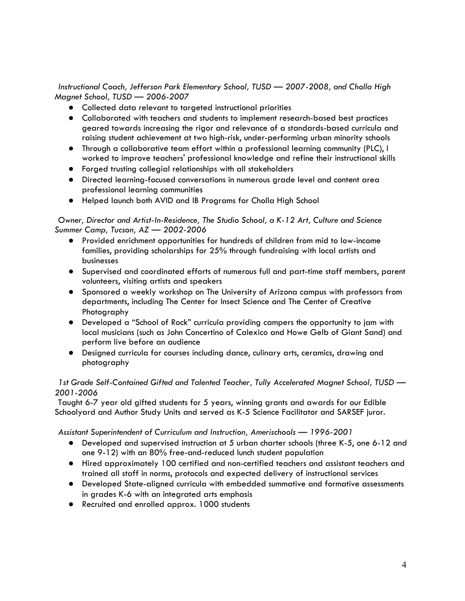*Instructional Coach, Jefferson Park Elementary School, TUSD — 2007-2008, and Cholla High Magnet School, TUSD — 2006-2007*

- Collected data relevant to targeted instructional priorities
- Collaborated with teachers and students to implement research-based best practices geared towards increasing the rigor and relevance of a standards-based curricula and raising student achievement at two high-risk, under-performing urban minority schools
- Through a collaborative team effort within a professional learning community (PLC), I worked to improve teachers' professional knowledge and refine their instructional skills
- Forged trusting collegial relationships with all stakeholders
- Directed learning-focused conversations in numerous grade level and content area professional learning communities
- Helped launch both AVID and IB Programs for Cholla High School

# *Owner, Director and Artist-In-Residence, The Studio School, a K-12 Art, Culture and Science Summer Camp, Tucson, AZ — 2002-2006*

- Provided enrichment opportunities for hundreds of children from mid to low-income families, providing scholarships for 25% through fundraising with local artists and businesses
- Supervised and coordinated efforts of numerous full and part-time staff members, parent volunteers, visiting artists and speakers
- Sponsored a weekly workshop on The University of Arizona campus with professors from departments, including The Center for Insect Science and The Center of Creative Photography
- Developed a "School of Rock" curricula providing campers the opportunity to jam with local musicians (such as John Concertino of Calexico and Howe Gelb of Giant Sand) and perform live before an audience
- Designed curricula for courses including dance, culinary arts, ceramics, drawing and photography

# *1st Grade Self-Contained Gifted and Talented Teacher, Tully Accelerated Magnet School, TUSD — 2001-2006*

Taught 6-7 year old gifted students for 5 years, winning grants and awards for our Edible Schoolyard and Author Study Units and served as K-5 Science Facilitator and SARSEF juror.

*Assistant Superintendent of Curriculum and Instruction, Amerischools — 1996-2001* 

- Developed and supervised instruction at 5 urban charter schools (three K-5, one 6-12 and one 9-12) with an 80% free-and-reduced lunch student population
- Hired approximately 100 certified and non-certified teachers and assistant teachers and trained all staff in norms, protocols and expected delivery of instructional services
- Developed State-aligned curricula with embedded summative and formative assessments in grades K-6 with an integrated arts emphasis
- Recruited and enrolled approx. 1000 students